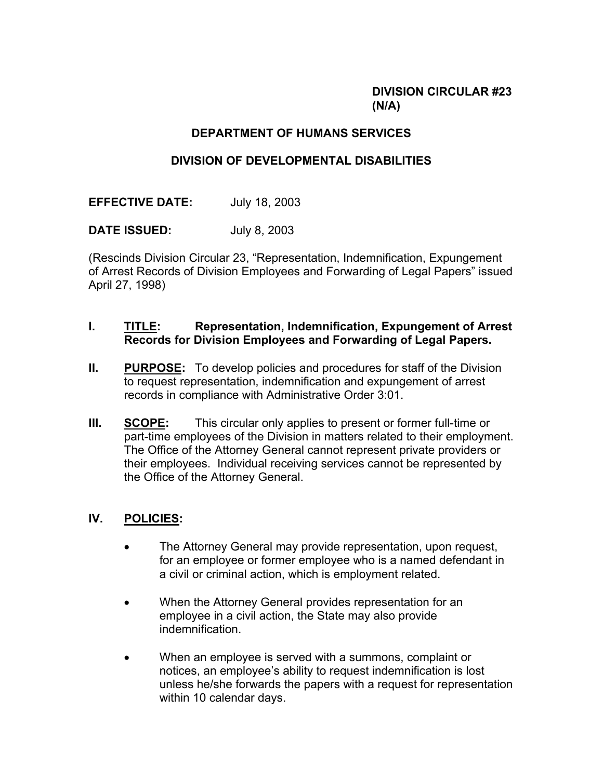# **DIVISION CIRCULAR #23 (N/A)**

# **DEPARTMENT OF HUMANS SERVICES**

# **DIVISION OF DEVELOPMENTAL DISABILITIES**

**EFFECTIVE DATE:** July 18, 2003

**DATE ISSUED:** July 8, 2003

(Rescinds Division Circular 23, "Representation, Indemnification, Expungement of Arrest Records of Division Employees and Forwarding of Legal Papers" issued April 27, 1998)

### **I. TITLE: Representation, Indemnification, Expungement of Arrest Records for Division Employees and Forwarding of Legal Papers.**

- **II.** PURPOSE: To develop policies and procedures for staff of the Division to request representation, indemnification and expungement of arrest records in compliance with Administrative Order 3:01.
- **III. SCOPE:** This circular only applies to present or former full-time or part-time employees of the Division in matters related to their employment. The Office of the Attorney General cannot represent private providers or their employees. Individual receiving services cannot be represented by the Office of the Attorney General.

# **IV. POLICIES:**

- The Attorney General may provide representation, upon request, for an employee or former employee who is a named defendant in a civil or criminal action, which is employment related.
- When the Attorney General provides representation for an employee in a civil action, the State may also provide indemnification.
- When an employee is served with a summons, complaint or notices, an employee's ability to request indemnification is lost unless he/she forwards the papers with a request for representation within 10 calendar days.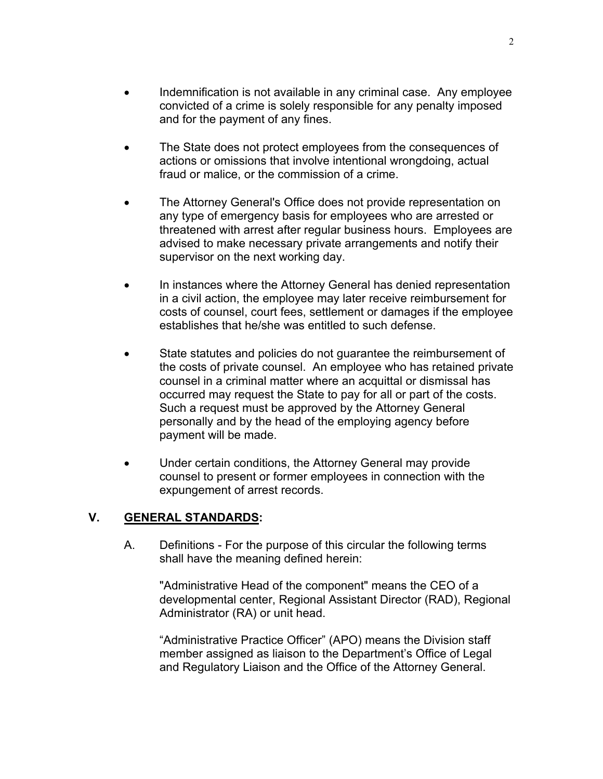- Indemnification is not available in any criminal case. Any employee convicted of a crime is solely responsible for any penalty imposed and for the payment of any fines.
- The State does not protect employees from the consequences of actions or omissions that involve intentional wrongdoing, actual fraud or malice, or the commission of a crime.
- The Attorney General's Office does not provide representation on any type of emergency basis for employees who are arrested or threatened with arrest after regular business hours. Employees are advised to make necessary private arrangements and notify their supervisor on the next working day.
- In instances where the Attorney General has denied representation in a civil action, the employee may later receive reimbursement for costs of counsel, court fees, settlement or damages if the employee establishes that he/she was entitled to such defense.
- State statutes and policies do not quarantee the reimbursement of the costs of private counsel. An employee who has retained private counsel in a criminal matter where an acquittal or dismissal has occurred may request the State to pay for all or part of the costs. Such a request must be approved by the Attorney General personally and by the head of the employing agency before payment will be made.
- Under certain conditions, the Attorney General may provide counsel to present or former employees in connection with the expungement of arrest records.

#### **V. GENERAL STANDARDS:**

A. Definitions - For the purpose of this circular the following terms shall have the meaning defined herein:

"Administrative Head of the component" means the CEO of a developmental center, Regional Assistant Director (RAD), Regional Administrator (RA) or unit head.

"Administrative Practice Officer" (APO) means the Division staff member assigned as liaison to the Department's Office of Legal and Regulatory Liaison and the Office of the Attorney General.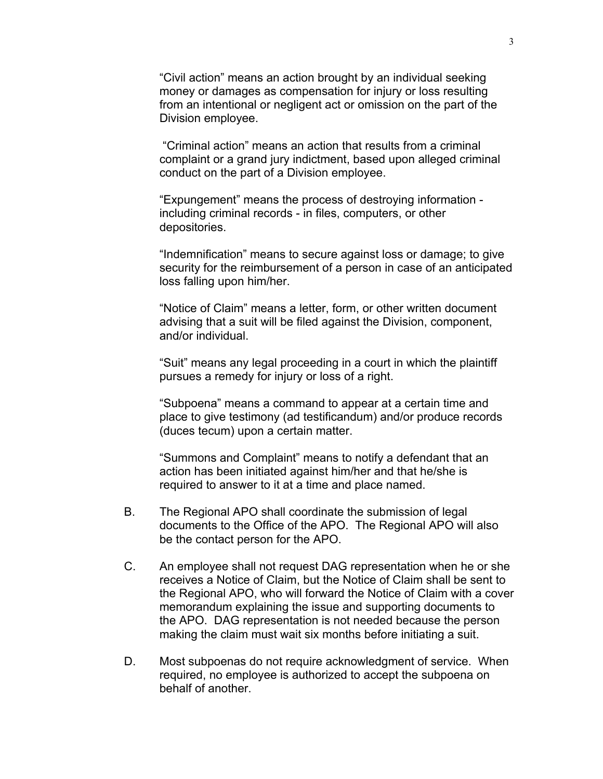"Civil action" means an action brought by an individual seeking money or damages as compensation for injury or loss resulting from an intentional or negligent act or omission on the part of the Division employee.

 "Criminal action" means an action that results from a criminal complaint or a grand jury indictment, based upon alleged criminal conduct on the part of a Division employee.

"Expungement" means the process of destroying information including criminal records - in files, computers, or other depositories.

"Indemnification" means to secure against loss or damage; to give security for the reimbursement of a person in case of an anticipated loss falling upon him/her.

"Notice of Claim" means a letter, form, or other written document advising that a suit will be filed against the Division, component, and/or individual.

"Suit" means any legal proceeding in a court in which the plaintiff pursues a remedy for injury or loss of a right.

"Subpoena" means a command to appear at a certain time and place to give testimony (ad testificandum) and/or produce records (duces tecum) upon a certain matter.

"Summons and Complaint" means to notify a defendant that an action has been initiated against him/her and that he/she is required to answer to it at a time and place named.

- B. The Regional APO shall coordinate the submission of legal documents to the Office of the APO. The Regional APO will also be the contact person for the APO.
- C. An employee shall not request DAG representation when he or she receives a Notice of Claim, but the Notice of Claim shall be sent to the Regional APO, who will forward the Notice of Claim with a cover memorandum explaining the issue and supporting documents to the APO. DAG representation is not needed because the person making the claim must wait six months before initiating a suit.
- D. Most subpoenas do not require acknowledgment of service. When required, no employee is authorized to accept the subpoena on behalf of another.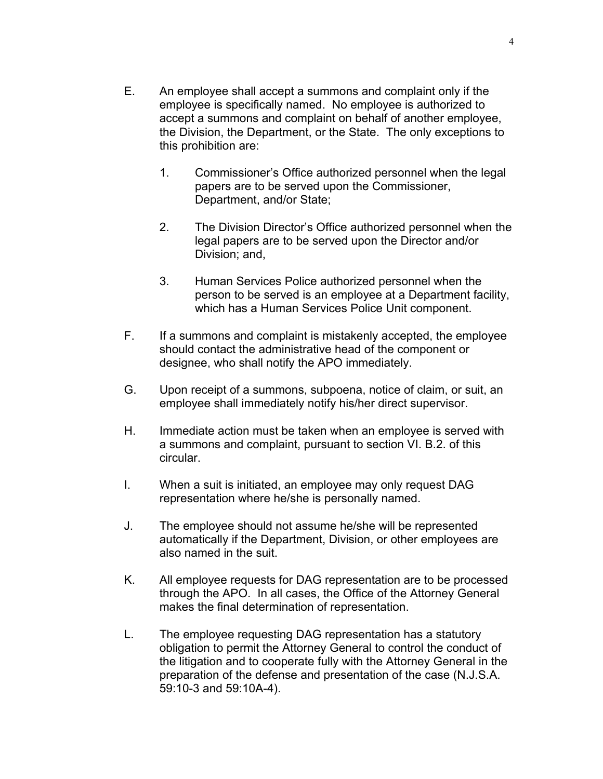- E. An employee shall accept a summons and complaint only if the employee is specifically named. No employee is authorized to accept a summons and complaint on behalf of another employee, the Division, the Department, or the State. The only exceptions to this prohibition are:
	- 1. Commissioner's Office authorized personnel when the legal papers are to be served upon the Commissioner, Department, and/or State;
	- 2. The Division Director's Office authorized personnel when the legal papers are to be served upon the Director and/or Division; and,
	- 3. Human Services Police authorized personnel when the person to be served is an employee at a Department facility, which has a Human Services Police Unit component.
- F. If a summons and complaint is mistakenly accepted, the employee should contact the administrative head of the component or designee, who shall notify the APO immediately.
- G. Upon receipt of a summons, subpoena, notice of claim, or suit, an employee shall immediately notify his/her direct supervisor.
- H. Immediate action must be taken when an employee is served with a summons and complaint, pursuant to section VI. B.2. of this circular.
- I. When a suit is initiated, an employee may only request DAG representation where he/she is personally named.
- J. The employee should not assume he/she will be represented automatically if the Department, Division, or other employees are also named in the suit.
- K. All employee requests for DAG representation are to be processed through the APO. In all cases, the Office of the Attorney General makes the final determination of representation.
- L. The employee requesting DAG representation has a statutory obligation to permit the Attorney General to control the conduct of the litigation and to cooperate fully with the Attorney General in the preparation of the defense and presentation of the case (N.J.S.A. 59:10-3 and 59:10A-4).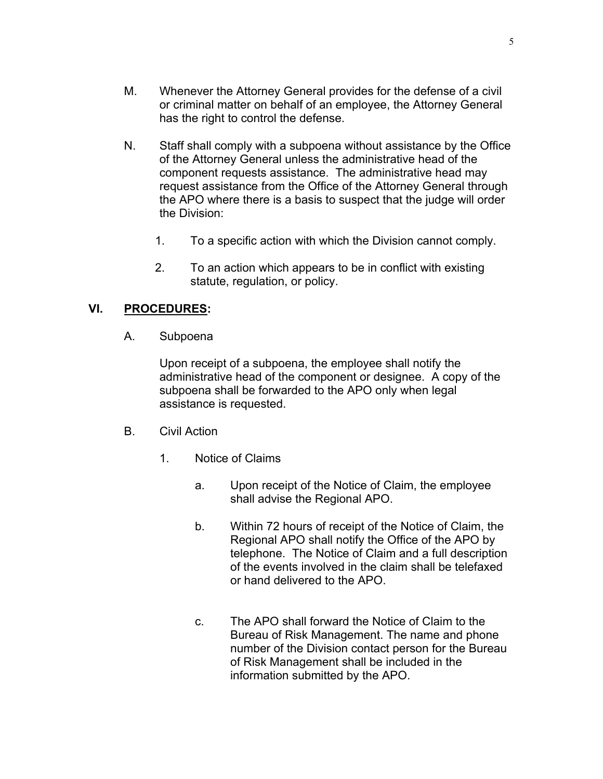- N. Staff shall comply with a subpoena without assistance by the Office of the Attorney General unless the administrative head of the component requests assistance. The administrative head may request assistance from the Office of the Attorney General through the APO where there is a basis to suspect that the judge will order the Division:
	- 1. To a specific action with which the Division cannot comply.
	- 2. To an action which appears to be in conflict with existing statute, regulation, or policy.

# **VI. PROCEDURES:**

A. Subpoena

Upon receipt of a subpoena, the employee shall notify the administrative head of the component or designee. A copy of the subpoena shall be forwarded to the APO only when legal assistance is requested.

- B. Civil Action
	- 1. Notice of Claims
		- a. Upon receipt of the Notice of Claim, the employee shall advise the Regional APO.
		- b. Within 72 hours of receipt of the Notice of Claim, the Regional APO shall notify the Office of the APO by telephone. The Notice of Claim and a full description of the events involved in the claim shall be telefaxed or hand delivered to the APO.
		- c. The APO shall forward the Notice of Claim to the Bureau of Risk Management. The name and phone number of the Division contact person for the Bureau of Risk Management shall be included in the information submitted by the APO.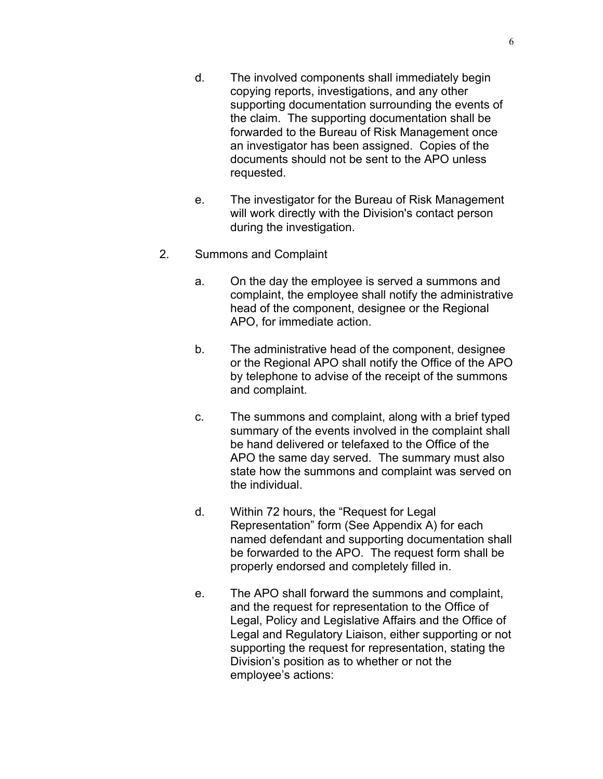- d. The involved components shall immediately begin copying reports, investigations, and any other supporting documentation surrounding the events of the claim. The supporting documentation shall be forwarded to the Bureau of Risk Management once an investigator has been assigned. Copies of the documents should not be sent to the APO unless requested.
- e. The investigator for the Bureau of Risk Management will work directly with the Division's contact person during the investigation.
- 2. Summons and Complaint
	- a. On the day the employee is served a summons and complaint, the employee shall notify the administrative head of the component, designee or the Regional APO, for immediate action.
	- b. The administrative head of the component, designee or the Regional APO shall notify the Office of the APO by telephone to advise of the receipt of the summons and complaint.
	- c. The summons and complaint, along with a brief typed summary of the events involved in the complaint shall be hand delivered or telefaxed to the Office of the APO the same day served. The summary must also state how the summons and complaint was served on the individual.
	- d. Within 72 hours, the "Request for Legal Representation" form (See Appendix A) for each named defendant and supporting documentation shall be forwarded to the APO. The request form shall be properly endorsed and completely filled in.
	- e. The APO shall forward the summons and complaint, and the request for representation to the Office of Legal, Policy and Legislative Affairs and the Office of Legal and Regulatory Liaison, either supporting or not supporting the request for representation, stating the Division's position as to whether or not the employee's actions: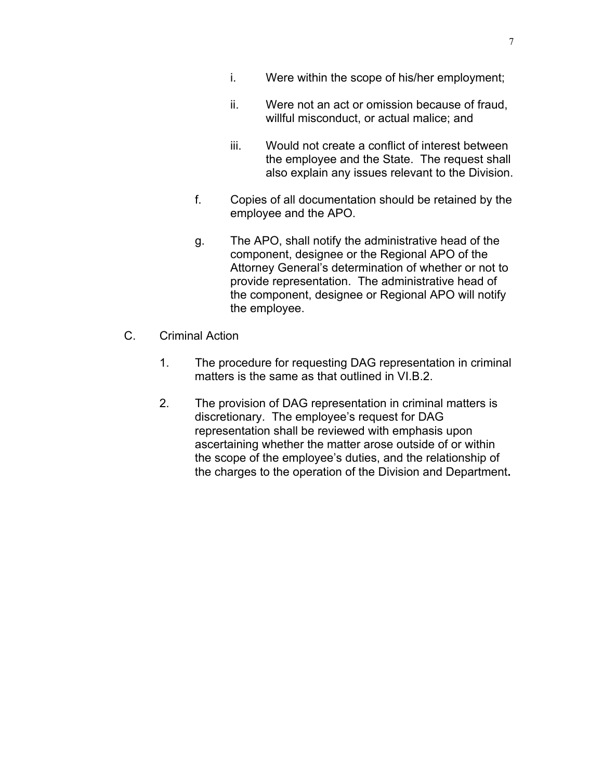- i. Were within the scope of his/her employment;
- ii. Were not an act or omission because of fraud, willful misconduct, or actual malice; and
- iii. Would not create a conflict of interest between the employee and the State. The request shall also explain any issues relevant to the Division.
- f. Copies of all documentation should be retained by the employee and the APO.
- g. The APO, shall notify the administrative head of the component, designee or the Regional APO of the Attorney General's determination of whether or not to provide representation. The administrative head of the component, designee or Regional APO will notify the employee.
- C. Criminal Action
	- 1. The procedure for requesting DAG representation in criminal matters is the same as that outlined in VI.B.2.
	- 2. The provision of DAG representation in criminal matters is discretionary. The employee's request for DAG representation shall be reviewed with emphasis upon ascertaining whether the matter arose outside of or within the scope of the employee's duties, and the relationship of the charges to the operation of the Division and Department**.**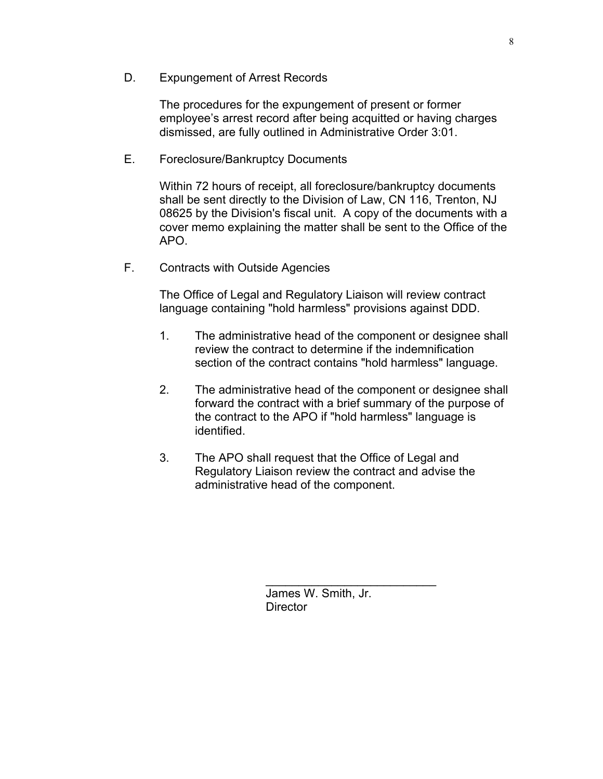D. Expungement of Arrest Records

The procedures for the expungement of present or former employee's arrest record after being acquitted or having charges dismissed, are fully outlined in Administrative Order 3:01.

### E. Foreclosure/Bankruptcy Documents

Within 72 hours of receipt, all foreclosure/bankruptcy documents shall be sent directly to the Division of Law, CN 116, Trenton, NJ 08625 by the Division's fiscal unit. A copy of the documents with a cover memo explaining the matter shall be sent to the Office of the APO.

F. Contracts with Outside Agencies

The Office of Legal and Regulatory Liaison will review contract language containing "hold harmless" provisions against DDD.

- 1. The administrative head of the component or designee shall review the contract to determine if the indemnification section of the contract contains "hold harmless" language.
- 2. The administrative head of the component or designee shall forward the contract with a brief summary of the purpose of the contract to the APO if "hold harmless" language is identified.
- 3. The APO shall request that the Office of Legal and Regulatory Liaison review the contract and advise the administrative head of the component.

James W. Smith, Jr. **Director** 

 $\mathcal{L}_\text{max}$  , where  $\mathcal{L}_\text{max}$  and  $\mathcal{L}_\text{max}$